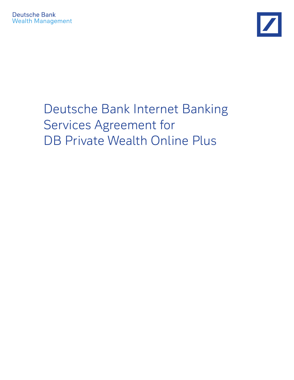

# Deutsche Bank Internet Banking Services Agreement for DB Private Wealth Online Plus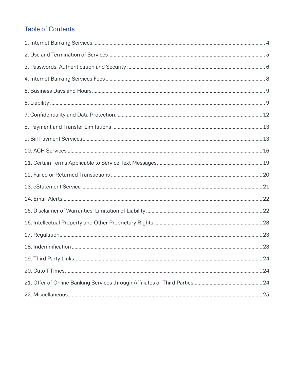# **Table of Contents**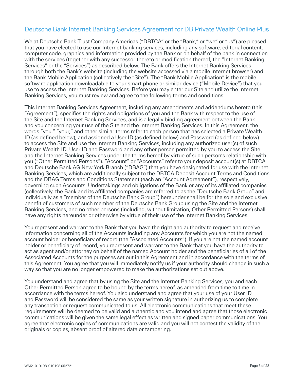# Deutsche Bank Internet Banking Services Agreement for DB Private Wealth Online Plus

We at Deutsche Bank Trust Company Americas ("DBTCA" or the "Bank," or "we" or "us") are pleased that you have elected to use our Internet banking services, including any software, editorial content, computer code, graphics and information provided by the Bank or on behalf of the bank in connection with the services (together with any successor thereto or modification thereof, the "Internet Banking Services" or the "Services") as described below. The Bank offers the Internet Banking Services through both the Bank's website (including the website accessed via a mobile Internet browser) and the Bank Mobile Application (collectively the "Site"). The "Bank Mobile Application" is the mobile software application downloadable to your smart phone or similar device ("Mobile Device") that you use to access the Internet Banking Services. Before you may enter our Site and utilize the Internet Banking Services, you must review and agree to the following terms and conditions.

This Internet Banking Services Agreement, including any amendments and addendums hereto (this "Agreement"), specifies the rights and obligations of you and the Bank with respect to the use of the Site and the Internet Banking Services, and is a legally binding agreement between the Bank and you concerning your use of the Site and the Internet Banking Services. In this Agreement, the words "you," "your," and other similar terms refer to each person that has selected a Private Wealth ID (as defined below), and assigned a User ID (as defined below) and Password (as defined below) to access the Site and use the Internet Banking Services, including any authorized user(s) of such Private Wealth ID, User ID and Password and any other person permitted by you to access the Site and the Internet Banking Services under the terms hereof by virtue of such person's relationship with you ("Other Permitted Persons"). "Account" or "Accounts" refer to your deposit account(s) at DBTCA and Deutsche Bank AG New York Branch ("DBAG") that you have designated for use with the Internet Banking Services, which are additionally subject to the DBTCA Deposit Account Terms and Conditions and the DBAG Terms and Conditions Statement (each an "Account Agreement"), respectively, governing such Accounts. Undertakings and obligations of the Bank or any of its affiliated companies (collectively, the Bank and its affiliated companies are referred to as the "Deutsche Bank Group" and individually as a "member of the Deutsche Bank Group") hereunder shall be for the sole and exclusive benefit of customers of such member of the Deutsche Bank Group using the Site and the Internet Banking Services, and no other persons (including, without limitation, Other Permitted Persons) shall have any rights hereunder or otherwise by virtue of their use of the Internet Banking Services.

You represent and warrant to the Bank that you have the right and authority to request and receive information concerning all of the Accounts including any Accounts for which you are not the named account holder or beneficiary of record (the "Associated Accounts"). If you are not the named account holder or beneficiary of record, you represent and warrant to the Bank that you have the authority to act as agent and/or attorney on behalf of the named Account holder and the beneficiaries of all of the Associated Accounts for the purposes set out in this Agreement and in accordance with the terms of this Agreement. You agree that you will immediately notify us if your authority should change in such a way so that you are no longer empowered to make the authorizations set out above.

You understand and agree that by using the Site and the Internet Banking Services, you and each Other Permitted Person agree to be bound by the terms hereof, as amended from time to time in accordance with the terms hereof. You also understand and agree that your use of your User ID and Password will be considered the same as your written signature in authorizing us to complete any transaction or request communicated to us. All electronic communications that meet these requirements will be deemed to be valid and authentic and you intend and agree that those electronic communications will be given the same legal effect as written and signed paper communications. You agree that electronic copies of communications are valid and you will not contest the validity of the originals or copies, absent proof of altered data or tampering.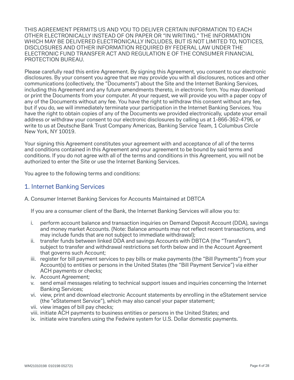THIS AGREEMENT PERMITS US AND YOU TO DELIVER CERTAIN INFORMATION TO EACH OTHER ELECTRONICALLY INSTEAD OF ON PAPER OR "IN WRITING." THE INFORMATION WHICH MAY BE DELIVERED ELECTRONICALLY INCLUDES, BUT IS NOT LIMITED TO, NOTICES, DISCLOSURES AND OTHER INFORMATION REQUIRED BY FEDERAL LAW UNDER THE ELECTRONIC FUND TRANSFER ACT AND REGULATION E OF THE CONSUMER FINANCIAL PROTECTION BUREAU.

Please carefully read this entire Agreement. By signing this Agreement, you consent to our electronic disclosures. By your consent you agree that we may provide you with all disclosures, notices and other communications (collectively, the "Documents") about the Site and the Internet Banking Services, including this Agreement and any future amendments thereto, in electronic form. You may download or print the Documents from your computer. At your request, we will provide you with a paper copy of any of the Documents without any fee. You have the right to withdraw this consent without any fee, but if you do, we will immediately terminate your participation in the Internet Banking Services. You have the right to obtain copies of any of the Documents we provided electronically, update your email address or withdraw your consent to our electronic disclosures by calling us at 1-866-362-4796, or write to us at Deutsche Bank Trust Company Americas, Banking Service Team, 1 Columbus Circle New York, NY 10019.

Your signing this Agreement constitutes your agreement with and acceptance of all of the terms and conditions contained in this Agreement and your agreement to be bound by said terms and conditions. If you do not agree with all of the terms and conditions in this Agreement, you will not be authorized to enter the Site or use the Internet Banking Services.

You agree to the following terms and conditions:

### 1. Internet Banking Services

A. Consumer Internet Banking Services for Accounts Maintained at DBTCA

If you are a consumer client of the Bank, the Internet Banking Services will allow you to:

- i. perform account balance and transaction inquiries on Demand Deposit Account (DDA), savings and money market Accounts. (Note: Balance amounts may not reflect recent transactions, and may include funds that are not subject to immediate withdrawal);
- ii. transfer funds between linked DDA and savings Accounts with DBTCA (the "Transfers"), subject to transfer and withdrawal restrictions set forth below and in the Account Agreement that governs such Account;
- iii. register for bill payment services to pay bills or make payments (the "Bill Payments") from your Account(s) to entities or persons in the United States (the "Bill Payment Service") via either ACH payments or checks;
- iv. Account Agreement;
- v. send email messages relating to technical support issues and inquiries concerning the Internet Banking Services;
- vi. view, print and download electronic Account statements by enrolling in the eStatement service (the "eStatement Service"), which may also cancel your paper statement;
- vii. view images of bill pay checks;
- viii. initiate ACH payments to business entities or persons in the United States; and
- ix. initiate wire transfers using the Fedwire system for U.S. Dollar domestic payments.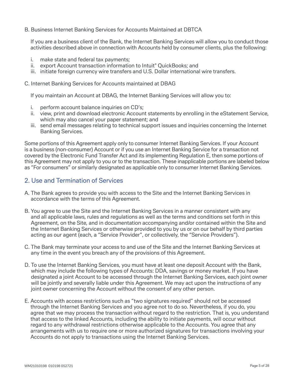B. Business Internet Banking Services for Accounts Maintained at DBTCA

If you are a business client of the Bank, the Internet Banking Services will allow you to conduct those activities described above in connection with Accounts held by consumer clients, plus the following:

- i. make state and federal tax payments;
- ii. export Account transaction information to Intuit® QuickBooks; and
- iii. initiate foreign currency wire transfers and U.S. Dollar international wire transfers.

C. Internet Banking Services for Accounts maintained at DBAG

If you maintain an Account at DBAG, the Internet Banking Services will allow you to:

- i. perform account balance inquiries on CD's;
- ii. view, print and download electronic Account statements by enrolling in the eStatement Service, which may also cancel your paper statement; and
- iii. send email messages relating to technical support issues and inquiries concerning the Internet Banking Services.

Some portions of this Agreement apply only to consumer Internet Banking Services. If your Account is a business (non-consumer) Account or if you use an Internet Banking Service for a transaction not covered by the Electronic Fund Transfer Act and its implementing Regulation E, then some portions of this Agreement may not apply to you or to the transaction. These inapplicable portions are labeled below as "For consumers" or similarly designated as applicable only to consumer Internet Banking Services.

### 2. Use and Termination of Services

- A. The Bank agrees to provide you with access to the Site and the Internet Banking Services in accordance with the terms of this Agreement.
- B. You agree to use the Site and the Internet Banking Services in a manner consistent with any and all applicable laws, rules and regulations as well as the terms and conditions set forth in this Agreement, on the Site, and in documentation accompanying and/or contained within the Site and the Internet Banking Services or otherwise provided to you by us or on our behalf by third parties acting as our agent (each, a "Service Provider", or collectively, the "Service Providers").
- C. The Bank may terminate your access to and use of the Site and the Internet Banking Services at any time in the event you breach any of the provisions of this Agreement.
- D. To use the Internet Banking Services, you must have at least one deposit Account with the Bank, which may include the following types of Accounts: DDA, savings or money market. If you have designated a joint Account to be accessed through the Internet Banking Services, each joint owner will be jointly and severally liable under this Agreement. We may act upon the instructions of any joint owner concerning the Account without the consent of any other person.
- E. Accounts with access restrictions such as "two signatures required" should not be accessed through the Internet Banking Services and you agree not to do so. Nevertheless, if you do, you agree that we may process the transaction without regard to the restriction. That is, you understand that access to the linked Accounts, including the ability to initiate payments, will occur without regard to any withdrawal restrictions otherwise applicable to the Accounts. You agree that any arrangements with us to require one or more authorized signatures for transactions involving your Accounts do not apply to transactions using the Internet Banking Services.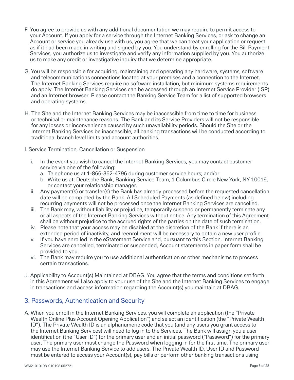- F. You agree to provide us with any additional documentation we may require to permit access to your Account. If you apply for a service through the Internet Banking Services, or ask to change an Account or service you already use with us, you agree that we can treat your application or request as if it had been made in writing and signed by you. You understand by enrolling for the Bill Payment Services, you authorize us to investigate and verify any information supplied by you. You authorize us to make any credit or investigative inquiry that we determine appropriate.
- G. You will be responsible for acquiring, maintaining and operating any hardware, systems, software and telecommunications connections located at your premises and a connection to the Internet. The Internet Banking Services require no software installation, but minimum systems requirements do apply. The Internet Banking Services can be accessed through an Internet Service Provider (ISP) and an Internet browser. Please contact the Banking Service Team for a list of supported browsers and operating systems.
- H. The Site and the Internet Banking Services may be inaccessible from time to time for business or technical or maintenance reasons. The Bank and its Service Providers will not be responsible for any losses or inconvenience caused by such unavailability periods. Should the Site or the Internet Banking Services be inaccessible, all banking transactions will be conducted according to traditional branch level limits and account authorities.
- I. Service Termination, Cancellation or Suspension
	- i. In the event you wish to cancel the Internet Banking Services, you may contact customer service via one of the following:
		- a. Telephone us at 1-866-362-4796 during customer service hours; and/or
		- b. Write us at: Deutsche Bank, Banking Service Team, 1 Columbus Circle New York, NY 10019, or contact your relationship manager.
	- ii. Any payment(s) or transfer(s) the Bank has already processed before the requested cancellation date will be completed by the Bank. All Scheduled Payments (as defined below) including recurring payments will not be processed once the Internet Banking Services are cancelled.
	- iii. The Bank may, without liability or prejudice, temporarily suspend or permanently terminate any or all aspects of the Internet Banking Services without notice. Any termination of this Agreement shall be without prejudice to the accrued rights of the parties on the date of such termination.
	- iv. Please note that your access may be disabled at the discretion of the Bank if there is an extended period of inactivity, and reenrollment will be necessary to obtain a new user profile.
	- v. If you have enrolled in the eStatement Service and, pursuant to this Section, Internet Banking Services are cancelled, terminated or suspended, Account statements in paper form shall be provided to you.
	- vi. The Bank may require you to use additional authentication or other mechanisms to process certain transactions.
- J. Applicability to Account(s) Maintained at DBAG. You agree that the terms and conditions set forth in this Agreement will also apply to your use of the Site and the Internet Banking Services to engage in transactions and access information regarding the Account(s) you maintain at DBAG.

# 3. Passwords, Authentication and Security

A. When you enroll in the Internet Banking Services, you will complete an application (the "Private Wealth Online Plus Account Opening Application") and select an identification (the "Private Wealth ID"). The Private Wealth ID is an alphanumeric code that you (and any users you grant access to the Internet Banking Services) will need to log in to the Services. The Bank will assign you a user identification (the "User ID") for the primary user and an initial password ("Password") for the primary user. The primary user must change the Password when logging in for the first time. The primary user may use the Internet Banking Service to add users. The Private Wealth ID, User ID and Password must be entered to access your Account(s), pay bills or perform other banking transactions using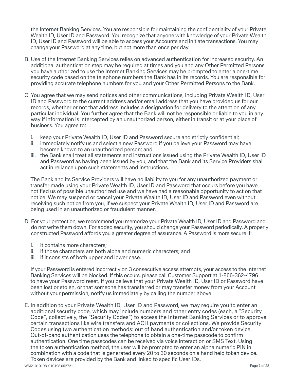the Internet Banking Services. You are responsible for maintaining the confidentiality of your Private Wealth ID, User ID and Password. You recognize that anyone with knowledge of your Private Wealth ID, User ID and Password will be able to access your Accounts and initiate transactions. You may change your Password at any time, but not more than once per day.

- B. Use of the Internet Banking Services relies on advanced authentication for increased security. An additional authentication step may be required at times and you and any Other Permitted Persons you have authorized to use the Internet Banking Services may be prompted to enter a one-time security code based on the telephone numbers the Bank has in its records. You are responsible for providing accurate telephone numbers for you and your Other Permitted Persons to the Bank.
- C. You agree that we may send notices and other communications, including Private Wealth ID, User ID and Password to the current address and/or email address that you have provided us for our records, whether or not that address includes a designation for delivery to the attention of any particular individual. You further agree that the Bank will not be responsible or liable to you in any way if information is intercepted by an unauthorized person, either in transit or at your place of business. You agree to:
	- i. keep your Private Wealth ID, User ID and Password secure and strictly confidential;
	- ii. immediately notify us and select a new Password if you believe your Password may have become known to an unauthorized person; and
	- iii. the Bank shall treat all statements and instructions issued using the Private Wealth ID, User ID and Password as having been issued by you, and that the Bank and its Service Providers shall act in reliance upon such statements and instructions.

The Bank and its Service Providers will have no liability to you for any unauthorized payment or transfer made using your Private Wealth ID, User ID and Password that occurs before you have notified us of possible unauthorized use and we have had a reasonable opportunity to act on that notice. We may suspend or cancel your Private Wealth ID, User ID and Password even without receiving such notice from you, if we suspect your Private Wealth ID, User ID and Password are being used in an unauthorized or fraudulent manner.

- D. For your protection, we recommend you memorize your Private Wealth ID, User ID and Password and do not write them down. For added security, you should change your Password periodically. A properly constructed Password affords you a greater degree of assurance. A Password is more secure if:
	- i. it contains more characters;
	- ii. if those characters are both alpha and numeric characters; and
	- iii. if it consists of both upper and lower case.

If your Password is entered incorrectly on 3 consecutive access attempts, your access to the Internet Banking Services will be blocked. If this occurs, please call Customer Support at 1-866-362-4796 to have your Password reset. If you believe that your Private Wealth ID, User ID or Password have been lost or stolen, or that someone has transferred or may transfer money from your Account without your permission, notify us immediately by calling the number above.

E. In addition to your Private Wealth ID, User ID and Password, we may require you to enter an additional security code, which may include numbers and other entry codes (each, a "Security Code", collectively, the "Security Codes") to access the Internet Banking Services or to approve certain transactions like wire transfers and ACH payments or collections. We provide Security Codes using two authentication methods: out of band authentication and/or token device. Out-of-band authentication uses the telephone to obtain a one-time passcode to confirm authentication. One time passcodes can be received via voice interaction or SMS Text. Using the token authentication method, the user will be prompted to enter an alpha numeric PIN in combination with a code that is generated every 20 to 30 seconds on a hand held token device. Token devices are provided by the Bank and linked to specific User IDs.

WM21010198 010198 052721 Page 7 of 28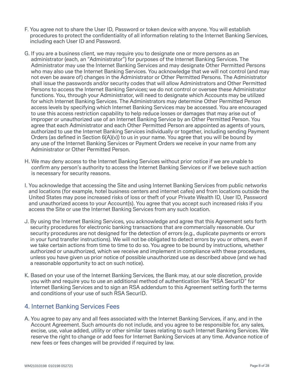- F. You agree not to share the User ID, Password or token device with anyone. You will establish procedures to protect the confidentiality of all information relating to the Internet Banking Services, including each User ID and Password.
- G. If you are a business client, we may require you to designate one or more persons as an administrator (each, an "Administrator") for purposes of the Internet Banking Services. The Administrator may use the Internet Banking Services and may designate Other Permitted Persons who may also use the Internet Banking Services. You acknowledge that we will not control (and may not even be aware of) changes in the Administrator or Other Permitted Persons. The Administrator shall issue the passwords and/or security codes that will allow Administrators and Other Permitted Persons to access the Internet Banking Services; we do not control or oversee these Administrator functions. You, through your Administrator, will need to designate which Accounts may be utilized for which Internet Banking Services. The Administrators may determine Other Permitted Person access levels by specifying which Internet Banking Services may be accessed. You are encouraged to use this access restriction capability to help reduce losses or damages that may arise out of improper or unauthorized use of an Internet Banking Service by an Other Permitted Person. You agree that each Administrator and each Other Permitted Person are appointed as agents of yours, authorized to use the Internet Banking Services individually or together, including sending Payment Orders (as defined in Section 6(A)(v)) to us in your name. You agree that you will be bound by any use of the Internet Banking Services or Payment Orders we receive in your name from any Administrator or Other Permitted Person.
- H. We may deny access to the Internet Banking Services without prior notice if we are unable to confirm any person's authority to access the Internet Banking Services or if we believe such action is necessary for security reasons.
- I. You acknowledge that accessing the Site and using Internet Banking Services from public networks and locations (for example, hotel business centers and internet cafes) and from locations outside the United States may pose increased risks of loss or theft of your Private Wealth ID, User ID, Password and unauthorized access to your Account(s). You agree that you accept such increased risks if you access the Site or use the Internet Banking Services from any such location.
- J. By using the Internet Banking Services, you acknowledge and agree that this Agreement sets forth security procedures for electronic banking transactions that are commercially reasonable. Our security procedures are not designed for the detection of errors (e.g., duplicate payments or errors in your fund transfer instructions). We will not be obligated to detect errors by you or others, even if we take certain actions from time to time to do so. You agree to be bound by instructions, whether authorized or unauthorized, which we receive and implement in compliance with these procedures, unless you have given us prior notice of possible unauthorized use as described above (and we had a reasonable opportunity to act on such notice).
- K. Based on your use of the Internet Banking Services, the Bank may, at our sole discretion, provide you with and require you to use an additional method of authentication like "RSA SecurID" for Internet Banking Services and to sign an RSA addendum to this Agreement setting forth the terms and conditions of your use of such RSA SecurID.

# 4. Internet Banking Services Fees

A. You agree to pay any and all fees associated with the Internet Banking Services, if any, and in the Account Agreement. Such amounts do not include, and you agree to be responsible for, any sales, excise, use, value added, utility or other similar taxes relating to such Internet Banking Services. We reserve the right to change or add fees for Internet Banking Services at any time. Advance notice of new fees or fees changes will be provided if required by law.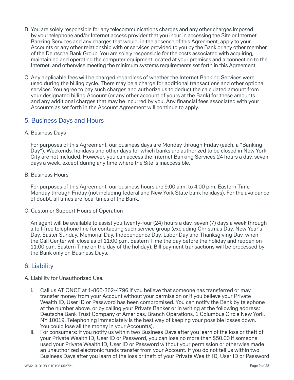- B. You are solely responsible for any telecommunications charges and any other charges imposed by your telephone and/or Internet access provider that you incur in accessing the Site or Internet Banking Services and any charges that would, in the absence of this Agreement, apply to your Accounts or any other relationship with or services provided to you by the Bank or any other member of the Deutsche Bank Group. You are solely responsible for the costs associated with acquiring, maintaining and operating the computer equipment located at your premises and a connection to the Internet, and otherwise meeting the minimum systems requirements set forth in this Agreement.
- C. Any applicable fees will be charged regardless of whether the Internet Banking Services were used during the billing cycle. There may be a charge for additional transactions and other optional services. You agree to pay such charges and authorize us to deduct the calculated amount from your designated billing Account (or any other account of yours at the Bank) for these amounts and any additional charges that may be incurred by you. Any financial fees associated with your Accounts as set forth in the Account Agreement will continue to apply.

### 5. Business Days and Hours

### A. Business Days

For purposes of this Agreement, our business days are Monday through Friday (each, a "Banking Day"). Weekends, holidays and other days for which banks are authorized to be closed in New York City are not included. However, you can access the Internet Banking Services 24 hours a day, seven days a week, except during any time where the Site is inaccessible.

### B. Business Hours

For purposes of this Agreement, our business hours are 9:00 a.m. to 4:00 p.m. Eastern Time Monday through Friday (not including federal and New York State bank holidays). For the avoidance of doubt, all times are local times of the Bank.

C. Customer Support Hours of Operation

An agent will be available to assist you twenty-four (24) hours a day, seven (7) days a week through a toll-free telephone line for contacting such service group (excluding Christmas Day, New Year's Day, Easter Sunday, Memorial Day, Independence Day, Labor Day and Thanksgiving Day, when the Call Center will close as of 11:00 p.m. Eastern Time the day before the holiday and reopen on 11:00 p.m. Eastern Time on the day of the holiday). Bill payment transactions will be processed by the Bank only on Business Days.

### 6. Liability

- A. Liability for Unauthorized Use.
	- i. Call us AT ONCE at 1-866-362-4796 if you believe that someone has transferred or may transfer money from your Account without your permission or if you believe your Private Wealth ID, User ID or Password has been compromised. You can notify the Bank by telephone at the number above, or by calling your Private Banker or in writing at the following address: Deutsche Bank Trust Company of Americas, Branch Operations, 1 Columbus Circle New York, NY 10019. Telephoning immediately is the best way of keeping your possible losses down. You could lose all the money in your Account(s).
	- ii. For consumers: If you notify us within two Business Days after you learn of the loss or theft of your Private Wealth ID, User ID or Password, you can lose no more than \$50.00 if someone used your Private Wealth ID, User ID or Password without your permission or otherwise made an unauthorized electronic funds transfer from your Account. If you do not tell us within two Business Days after you learn of the loss or theft of your Private Wealth ID, User ID or Password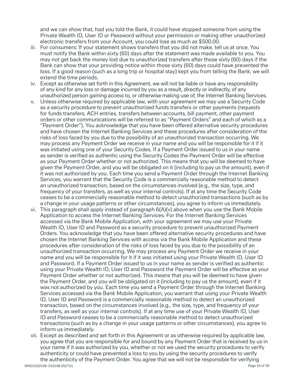and we can show that, had you told the Bank, it could have stopped someone from using the Private Wealth ID, User ID or Password without your permission or making other unauthorized electronic transfers from your Account, you could lose as much as \$500.00.

- iii. For consumers: If your statement shows transfers that you did not make, tell us at once. You must notify the Bank within sixty (60) days after the statement was made available to you. You may not get back the money lost due to unauthorized transfers after those sixty (60) days if the Bank can show that your providing notice within those sixty (60) days could have prevented the loss. If a good reason (such as a long trip or hospital stay) kept you from telling the Bank, we will extend the time periods.
- iv. Except as otherwise set forth in this Agreement, we will not be liable or have any responsibility of any kind for any loss or damage incurred by you as a result, directly or indirectly, of any unauthorized person gaining access to, or otherwise making use of, the Internet Banking Services.
- v. Unless otherwise required by applicable law, with your agreement we may use a Security Code as a security procedure to prevent unauthorized funds transfers or other payments (requests for funds transfers, ACH entries, transfers between accounts, bill payment, other payment orders or other communications will be referred to as "Payment Orders" and each of which as a "Payment Order"). You acknowledge that you have been offered alternative security procedures and have chosen the Internet Banking Services and these procedures after consideration of the risks of loss faced by you due to the possibility of an unauthorized transaction occurring. We may process any Payment Order we receive in your name and you will be responsible for it if it was initiated using one of your Security Codes. If a Payment Order issued to us in your name as sender is verified as authentic using the Security Codes the Payment Order will be effective as your Payment Order whether or not authorized. This means that you will be deemed to have given the Payment Order, and you will be obligated on it (including to pay us the amount), even if it was not authorized by you. Each time you send a Payment Order through the Internet Banking Services, you warrant that the Security Code is a commercially reasonable method to detect an unauthorized transaction, based on the circumstances involved (e.g., the size, type, and frequency of your transfers, as well as your internal controls). If at any time the Security Code ceases to be a commercially reasonable method to detect unauthorized transactions (such as by a change in your usage patterns or other circumstances), you agree to inform us immediately.
- vi. This paragraph shall apply instead of paragraph 6(A)(v) above when you use the Bank Mobile Application to access the Internet Banking Services. For the Internet Banking Services accessed via the Bank Mobile Application, with your agreement we may use your Private Wealth ID, User ID and Password as a security procedure to prevent unauthorized Payment Orders. You acknowledge that you have been offered alternative security procedures and have chosen the Internet Banking Services with access via the Bank Mobile Application and these procedures after consideration of the risks of loss faced by you due to the possibility of an unauthorized transaction occurring. We may process any Payment Order we receive in your name and you will be responsible for it if it was initiated using your Private Wealth ID, User ID and Password. If a Payment Order issued to us in your name as sender is verified as authentic using your Private Wealth ID, User ID and Password the Payment Order will be effective as your Payment Order whether or not authorized. This means that you will be deemed to have given the Payment Order, and you will be obligated on it (including to pay us the amount), even if it was not authorized by you. Each time you send a Payment Order through the Internet Banking Services accessed via the Bank Mobile Application, you warrant that using your Private Wealth ID, User ID and Password is a commercially reasonable method to detect an unauthorized transaction, based on the circumstances involved (e.g., the size, type, and frequency of your transfers, as well as your internal controls). If at any time use of your Private Wealth ID, User ID and Password ceases to be a commercially reasonable method to detect unauthorized transactions (such as by a change in your usage patterns or other circumstances), you agree to inform us immediately.
- vii. Except as described and set forth in this Agreement or as otherwise required by applicable law, you agree that you are responsible for and bound by any Payment Order that is received by us in your name if it was authorized by you, whether or not we used the security procedures to verify authenticity or could have prevented a loss to you by using the security procedures to verify the authenticity of the Payment Order. You agree that we will not be responsible for verifying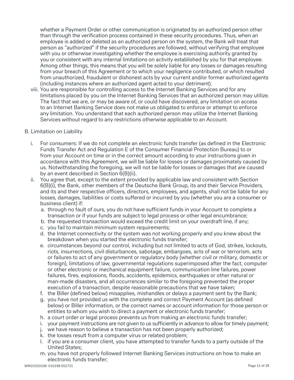whether a Payment Order or other communication is originated by an authorized person other than through the verification process contained in these security procedures. Thus, when an employee is added or deleted as an authorized person on the system, the Bank will treat that person as "authorized" if the security procedures are followed, without verifying that employee with you or otherwise investigating whether the employee is exercising authority granted by you or consistent with any internal limitations on activity established by you for that employee. Among other things, this means that you will be solely liable for any losses or damages resulting from your breach of this Agreement or to which your negligence contributed, or which resulted from unauthorized, fraudulent or dishonest acts by your current and/or former authorized agents (including instances where an authorized agent acted to your detriment).

viii. You are responsible for controlling access to the Internet Banking Services and for any limitations placed by you on the Internet Banking Services that an authorized person may utilize. The fact that we are, or may be aware of, or could have discovered, any limitation on access to an Internet Banking Service does not make us obligated to enforce or attempt to enforce any limitation. You understand that each authorized person may utilize the Internet Banking Services without regard to any restrictions otherwise applicable to an Account.

### B. Limitation on Liability

- i. For consumers: If we do not complete an electronic funds transfer (as defined in the Electronic Funds Transfer Act and Regulation E of the Consumer Financial Protection Bureau) to or from your Account on time or in the correct amount according to your instructions given in accordance with this Agreement, we will be liable for losses or damages proximately caused by us. Notwithstanding the foregoing, we will not be liable for losses or damages that are caused by an event described in Section 6(B)(ii).
- ii. You agree that, except to the extent provided by applicable law and consistent with Section 6(B)(i), the Bank, other members of the Deutsche Bank Group, its and their Service Providers, and its and their respective officers, directors, employees, and agents, shall not be liable for any losses, damages, liabilities or costs suffered or incurred by you (whether you are a consumer or business client) if:
	- a. through no fault of ours, you do not have sufficient funds in your Account to complete a transaction or if your funds are subject to legal process or other legal encumbrance;
	- b. the requested transaction would exceed the credit limit on your overdraft line, if any;
	- c. you fail to maintain minimum system requirements;
	- d. the Internet connectivity or the system was not working properly and you knew about the breakdown when you started the electronic funds transfer;
	- e. circumstances beyond our control, including but not limited to acts of God, strikes, lockouts, riots, insurrections, civil disturbances, sabotage, embargoes, acts of war or terrorism, acts or failures to act of any government or regulatory body (whether civil or military, domestic or foreign), limitations of law, governmental regulations superimposed after the fact, computer or other electronic or mechanical equipment failure, communication line failures, power failures, fires, explosions, floods, accidents, epidemics, earthquakes or other natural or man-made disasters, and all occurrences similar to the foregoing prevented the proper execution of a transaction, despite reasonable precautions that we have taken;
	- f. the Biller (defined below) misapplies, mishandles or delays a payment sent by the Bank;
	- g. you have not provided us with the complete and correct Payment Account (as defined below) or Biller information, or the correct names or account information for those person or entities to whom you wish to direct a payment or electronic funds transfer;
	- h. a court order or legal process prevents us from making an electronic funds transfer;
	- i. your payment instructions are not given to us sufficiently in advance to allow for timely payment;
	- j. we have reason to believe a transaction has not been properly authorized;
	- k. the losses result from a computer virus or related problem;
	- l. if you are a consumer client, you have attempted to transfer funds to a party outside of the United States;
	- m. you have not properly followed Internet Banking Services instructions on how to make an electronic funds transfer;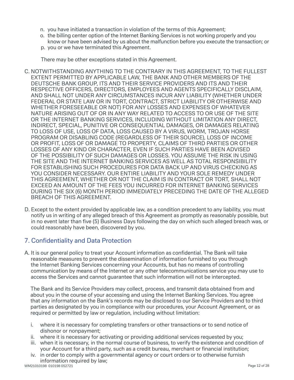- n. you have initiated a transaction in violation of the terms of this Agreement;
- o. the billing center option of the Internet Banking Services is not working properly and you know or have been advised by us about the malfunction before you execute the transaction; or
- p. you or we have terminated this Agreement.

There may be other exceptions stated in this Agreement.

- C. NOTWITHSTANDING ANYTHING TO THE CONTRARY IN THIS AGREEMENT, TO THE FULLEST EXTENT PERMITTED BY APPLICABLE LAW, THE BANK AND OTHER MEMBERS OF THE DEUTSCHE BANK GROUP, ITS AND THEIR SERVICE PROVIDERS AND ITS AND THEIR RESPECTIVE OFFICERS, DIRECTORS, EMPLOYEES AND AGENTS SPECIFICALLY DISCLAIM, AND SHALL NOT UNDER ANY CIRCUMSTANCES INCUR ANY LIABILITY (WHETHER UNDER FEDERAL OR STATE LAW OR IN TORT, CONTRACT, STRICT LIABILITY OR OTHERWISE AND WHETHER FORESEEABLE OR NOT) FOR ANY LOSSES AND EXPENSES OF WHATEVER NATURE ARISING OUT OF OR IN ANY WAY RELATED TO ACCESS TO OR USE OF THE SITE OR THE INTERNET BANKING SERVICES, INCLUDING WITHOUT LIMITATION ANY DIRECT, INDIRECT, SPECIAL, PUNITIVE OR CONSEQUENTIAL DAMAGES, OR DAMAGES RELATING TO LOSS OF USE, LOSS OF DATA, LOSS CAUSED BY A VIRUS, WORM, TROJAN HORSE PROGRAM OR DISABLING CODE (REGARDLESS OF THEIR SOURCE), LOSS OF INCOME OR PROFIT, LOSS OF OR DAMAGE TO PROPERTY, CLAIMS OF THIRD PARTIES OR OTHER LOSSES OF ANY KIND OR CHARACTER, EVEN IF SUCH PARTIES HAVE BEEN ADVISED OF THE POSSIBILITY OF SUCH DAMAGES OR LOSSES. YOU ASSUME THE RISK IN USING THE SITE AND THE INTERNET BANKING SERVICES AS WELL AS TOTAL RESPONSIBILITY FOR ESTABLISHING SUCH PROCEDURES FOR DATA BACK UP AND VIRUS CHECKING AS YOU CONSIDER NECESSARY. OUR ENTIRE LIABILITY AND YOUR SOLE REMEDY UNDER THIS AGREEMENT, WHETHER OR NOT THE CLAIM IS IN CONTRACT OR TORT, SHALL NOT EXCEED AN AMOUNT OF THE FEES YOU INCURRED FOR INTERNET BANKING SERVICES DURING THE SIX (6) MONTH PERIOD IMMEDIATELY PRECEDING THE DATE OF THE ALLEGED BREACH OF THIS AGREEMENT.
- D. Except to the extent provided by applicable law, as a condition precedent to any liability, you must notify us in writing of any alleged breach of this Agreement as promptly as reasonably possible, but in no event later than five (5) Business Days following the day on which such alleged breach was, or could reasonably have been, discovered by you.

# 7. Confidentiality and Data Protection

A. It is our general policy to treat your Account information as confidential. The Bank will take reasonable measures to prevent the dissemination of information furnished to you through the Internet Banking Services concerning your Accounts, but has no means of controlling communication by means of the Internet or any other telecommunications service you may use to access the Services and cannot guarantee that such information will not be intercepted.

The Bank and its Service Providers may collect, process, and transmit data obtained from and about you in the course of your accessing and using the Internet Banking Services. You agree that any information on the Bank's records may be disclosed to our Service Providers and to third parties as designated by you in compliance with our procedures, your Account Agreement, or as required or permitted by law or regulation, including without limitation:

- i. where it is necessary for completing transfers or other transactions or to send notice of dishonor or nonpayment;
- ii. where it is necessary for activating or providing additional services requested by you;
- iii. when it is necessary, in the normal course of business, to verify the existence and condition of your Account for a third party, such as a credit bureau, merchant or financial institution;
- iv. in order to comply with a governmental agency or court orders or to otherwise furnish information required by law;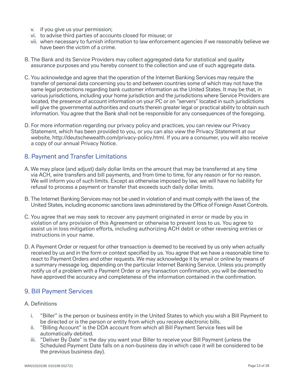- v. if you give us your permission;
- vi. to advise third parties of accounts closed for misuse; or
- vii. when necessary to furnish information to law enforcement agencies if we reasonably believe we have been the victim of a crime.
- B. The Bank and its Service Providers may collect aggregated data for statistical and quality assurance purposes and you hereby consent to the collection and use of such aggregate data.
- C. You acknowledge and agree that the operation of the Internet Banking Services may require the transfer of personal data concerning you to and between countries some of which may not have the same legal protections regarding bank customer information as the United States. It may be that, in various jurisdictions, including your home jurisdiction and the jurisdictions where Service Providers are located, the presence of account information on your PC or on "servers" located in such jurisdictions will give the governmental authorities and courts therein greater legal or practical ability to obtain such information. You agree that the Bank shall not be responsible for any consequences of the foregoing.
- D. For more information regarding our privacy policy and practices, you can review our Privacy Statement, which has been provided to you, or you can also view the Privacy Statement at our website, http://deutschewealth.com/privacy-policy.html. If you are a consumer, you will also receive a copy of our annual Privacy Notice.

# 8. Payment and Transfer Limitations

- A. We may place (and adjust) daily dollar limits on the amount that may be transferred at any time via ACH, wire transfers and bill payments, and from time to time, for any reason or for no reason. We will inform you of such limits. Except as otherwise imposed by law, we will have no liability for refusal to process a payment or transfer that exceeds such daily dollar limits.
- B. The Internet Banking Services may not be used in violation of and must comply with the laws of, the United States, including economic sanctions laws administered by the Office of Foreign Asset Controls.
- C. You agree that we may seek to recover any payment originated in error or made by you in violation of any provision of this Agreement or otherwise to prevent loss to us. You agree to assist us in loss mitigation efforts, including authorizing ACH debit or other reversing entries or instructions in your name.
- D. A Payment Order or request for other transaction is deemed to be received by us only when actually received by us and in the form or context specified by us. You agree that we have a reasonable time to react to Payment Orders and other requests. We may acknowledge it by email or online by means of a summary message log, depending on the particular Internet Banking Service. Unless you promptly notify us of a problem with a Payment Order or any transaction confirmation, you will be deemed to have approved the accuracy and completeness of the information contained in the confirmation.

## 9. Bill Payment Services

- A. Definitions
	- i. "Biller" is the person or business entity in the United States to which you wish a Bill Payment to be directed or is the person or entity from which you receive electronic bills.
	- ii. "Billing Account" is the DDA account from which all Bill Payment Service fees will be automatically debited.
	- iii. "Deliver By Date" is the day you want your Biller to receive your Bill Payment (unless the Scheduled Payment Date falls on a non-business day in which case it will be considered to be the previous business day).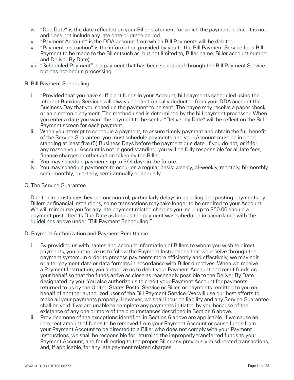- iv. "Due Date" is the date reflected on your Biller statement for which the payment is due. It is not and does not include any late date or grace period.
- v. "Payment Account" is the DDA account from which Bill Payments will be debited.
- vi. "Payment Instruction" is the information provided by you to the Bill Payment Service for a Bill Payment to be made to the Biller (such as, but not limited to, Biller name, Biller account number and Deliver By Date).
- vii. "Scheduled Payment" is a payment that has been scheduled through the Bill Payment Service but has not begun processing.

#### B. Bill Payment Scheduling

- i. "Provided that you have sufficient funds in your Account, bill payments scheduled using the Internet Banking Services will always be electronically deducted from your DDA account the Business Day that you schedule the payment to be sent. The payee may receive a paper check or an electronic payment. The method used is determined by the bill payment processor. When you enter a date you want the payment to be sent a "Deliver by Date" will be reflect on the Bill Payment screen for each payment.
- ii. When you attempt to schedule a payment, to assure timely payment and obtain the full benefit of the Service Guarantee, you must schedule payments and your Account must be in good standing at least five (5) Business Days before the payment due date. If you do not, or if for any reason your Account is not in good standing, you will be fully responsible for all late fees, finance charges or other action taken by the Biller.
- iii. You may schedule payments up to 364 days in the future.
- iv. You may schedule payments to occur on a regular basis: weekly, bi-weekly, monthly, bi-monthly, semi-monthly, quarterly, semi-annually or annually.
- C. The Service Guarantee

Due to circumstances beyond our control, particularly delays in handling and posting payments by Billers or financial institutions, some transactions may take longer to be credited to your Account. We will reimburse you for any late payment related charges you incur up to \$50.00 should a payment post after its Due Date as long as the payment was scheduled in accordance with the guidelines above under "Bill Payment Scheduling."

- D. Payment Authorization and Payment Remittance
	- i. By providing us with names and account information of Billers to whom you wish to direct payments, you authorize us to follow the Payment Instructions that we receive through the payment system. In order to process payments more efficiently and effectively, we may edit or alter payment data or data formats in accordance with Biller directives. When we receive a Payment Instruction, you authorize us to debit your Payment Account and remit funds on your behalf so that the funds arrive as close as reasonably possible to the Deliver By Date designated by you. You also authorize us to credit your Payment Account for payments returned to us by the United States Postal Service or Biller, or payments remitted to you on behalf of another authorized user of the Bill Payment Service. We will use our best efforts to make all your payments properly. However, we shall incur no liability and any Service Guarantee shall be void if we are unable to complete any payments initiated by you because of the existence of any one or more of the circumstances described in Section 6 above.
	- ii. Provided none of the exceptions identified in Section 6 above are applicable, if we cause an incorrect amount of funds to be removed from your Payment Account or cause funds from your Payment Account to be directed to a Biller who does not comply with your Payment Instructions, we shall be responsible for returning the improperly transferred funds to your Payment Account, and for directing to the proper Biller any previously misdirected transactions, and, if applicable, for any late payment related charges.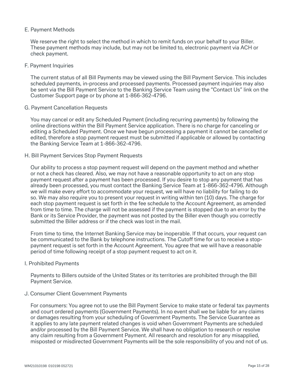### E. Payment Methods

We reserve the right to select the method in which to remit funds on your behalf to your Biller. These payment methods may include, but may not be limited to, electronic payment via ACH or check payment.

#### F. Payment Inquiries

The current status of all Bill Payments may be viewed using the Bill Payment Service. This includes scheduled payments, in-process and processed payments. Processed payment inquiries may also be sent via the Bill Payment Service to the Banking Service Team using the "Contact Us" link on the Customer Support page or by phone at 1-866-362-4796.

#### G. Payment Cancellation Requests

You may cancel or edit any Scheduled Payment (including recurring payments) by following the online directions within the Bill Payment Service application. There is no charge for canceling or editing a Scheduled Payment. Once we have begun processing a payment it cannot be cancelled or edited, therefore a stop payment request must be submitted if applicable or allowed by contacting the Banking Service Team at 1-866-362-4796.

### H. Bill Payment Services Stop Payment Requests

Our ability to process a stop payment request will depend on the payment method and whether or not a check has cleared. Also, we may not have a reasonable opportunity to act on any stop payment request after a payment has been processed. If you desire to stop any payment that has already been processed, you must contact the Banking Service Team at 1-866-362-4796. Although we will make every effort to accommodate your request, we will have no liability for failing to do so. We may also require you to present your request in writing within ten (10) days. The charge for each stop payment request is set forth in the fee schedule to the Account Agreement, as amended from time to time. The charge will not be assessed if the payment is stopped due to an error by the Bank or its Service Provider, the payment was not posted by the Biller even though you correctly submitted the Biller address or if the check was lost in the mail.

From time to time, the Internet Banking Service may be inoperable. If that occurs, your request can be communicated to the Bank by telephone instructions. The Cutoff time for us to receive a stoppayment request is set forth in the Account Agreement. You agree that we will have a reasonable period of time following receipt of a stop payment request to act on it.

### I. Prohibited Payments

Payments to Billers outside of the United States or its territories are prohibited through the Bill Payment Service.

#### J. Consumer Client Government Payments

For consumers: You agree not to use the Bill Payment Service to make state or federal tax payments and court ordered payments (Government Payments). In no event shall we be liable for any claims or damages resulting from your scheduling of Government Payments. The Service Guarantee as it applies to any late payment related changes is void when Government Payments are scheduled and/or processed by the Bill Payment Service. We shall have no obligation to research or resolve any claim resulting from a Government Payment. All research and resolution for any misapplied, misposted or misdirected Government Payments will be the sole responsibility of you and not of us.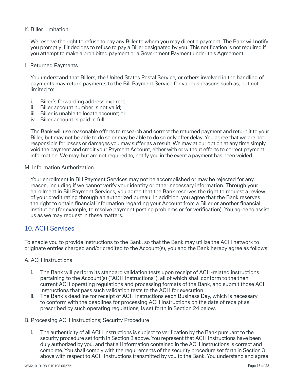### K. Biller Limitation

We reserve the right to refuse to pay any Biller to whom you may direct a payment. The Bank will notify you promptly if it decides to refuse to pay a Biller designated by you. This notification is not required if you attempt to make a prohibited payment or a Government Payment under this Agreement.

### L. Returned Payments

You understand that Billers, the United States Postal Service, or others involved in the handling of payments may return payments to the Bill Payment Service for various reasons such as, but not limited to:

- i. Biller's forwarding address expired;
- ii. Biller account number is not valid;
- iii. Biller is unable to locate account; or
- iv. Biller account is paid in full.

The Bank will use reasonable efforts to research and correct the returned payment and return it to your Biller, but may not be able to do so or may be able to do so only after delay. You agree that we are not responsible for losses or damages you may suffer as a result. We may at our option at any time simply void the payment and credit your Payment Account, either with or without efforts to correct payment information. We may, but are not required to, notify you in the event a payment has been voided.

### M. Information Authorization

Your enrollment in Bill Payment Services may not be accomplished or may be rejected for any reason, including if we cannot verify your identity or other necessary information. Through your enrollment in Bill Payment Services, you agree that the Bank reserves the right to request a review of your credit rating through an authorized bureau. In addition, you agree that the Bank reserves the right to obtain financial information regarding your Account from a Biller or another financial institution (for example, to resolve payment posting problems or for verification). You agree to assist us as we may request in these matters.

### 10. ACH Services

To enable you to provide instructions to the Bank, so that the Bank may utilize the ACH network to originate entries charged and/or credited to the Account(s), you and the Bank hereby agree as follows:

### A. ACH Instructions

- i. The Bank will perform its standard validation tests upon receipt of ACH-related instructions pertaining to the Account(s) ("ACH Instructions"), all of which shall conform to the then current ACH operating regulations and processing formats of the Bank, and submit those ACH Instructions that pass such validation tests to the ACH for execution.
- ii. The Bank's deadline for receipt of ACH Instructions each Business Day, which is necessary to conform with the deadlines for processing ACH Instructions on the date of receipt as prescribed by such operating regulations, is set forth in Section 24 below.

### B. Processing ACH Instructions; Security Procedure

i. The authenticity of all ACH Instructions is subject to verification by the Bank pursuant to the security procedure set forth in Section 3 above. You represent that ACH Instructions have been duly authorized by you, and that all information contained in the ACH Instructions is correct and complete. You shall comply with the requirements of the security procedure set forth in Section 3 above with respect to ACH Instructions transmitted by you to the Bank. You understand and agree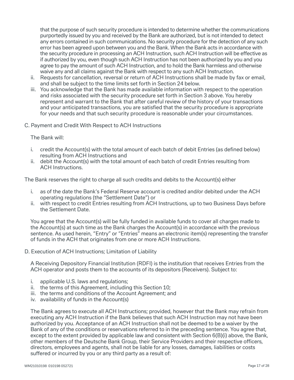that the purpose of such security procedure is intended to determine whether the communications purportedly issued by you and received by the Bank are authorized, but is not intended to detect any errors contained in such communications. No security procedure for the detection of any such error has been agreed upon between you and the Bank. When the Bank acts in accordance with the security procedure in processing an ACH Instruction, such ACH Instruction will be effective as if authorized by you, even though such ACH Instruction has not been authorized by you and you agree to pay the amount of such ACH Instruction, and to hold the Bank harmless and otherwise waive any and all claims against the Bank with respect to any such ACH Instruction.

- ii. Requests for cancellation, reversal or return of ACH Instructions shall be made by fax or email, and shall be subject to the time limits set forth in Section 24 below.
- iii. You acknowledge that the Bank has made available information with respect to the operation and risks associated with the security procedure set forth in Section 3 above. You hereby represent and warrant to the Bank that after careful review of the history of your transactions and your anticipated transactions, you are satisfied that the security procedure is appropriate for your needs and that such security procedure is reasonable under your circumstances.
- C. Payment and Credit With Respect to ACH Instructions

The Bank will:

- i. credit the Account(s) with the total amount of each batch of debit Entries (as defined below) resulting from ACH Instructions and
- ii. debit the Account(s) with the total amount of each batch of credit Entries resulting from ACH Instructions.

The Bank reserves the right to charge all such credits and debits to the Account(s) either

- i. as of the date the Bank's Federal Reserve account is credited and/or debited under the ACH operating regulations (the "Settlement Date") or
- ii. with respect to credit Entries resulting from ACH Instructions, up to two Business Days before the Settlement Date.

You agree that the Account(s) will be fully funded in available funds to cover all charges made to the Account(s) at such time as the Bank charges the Account(s) in accordance with the previous sentence. As used herein, "Entry" or "Entries" means an electronic item(s) representing the transfer of funds in the ACH that originates from one or more ACH Instructions.

D. Execution of ACH Instructions; Limitation of Liability

A Receiving Depository Financial Institution (RDFI) is the institution that receives Entries from the ACH operator and posts them to the accounts of its depositors (Receivers). Subject to:

- i. applicable U.S. laws and regulations;
- ii. the terms of this Agreement, including this Section 10;
- iii. the terms and conditions of the Account Agreement; and
- iv. availability of funds in the Account(s)

The Bank agrees to execute all ACH Instructions; provided, however that the Bank may refrain from executing any ACH Instruction if the Bank believes that such ACH Instruction may not have been authorized by you. Acceptance of an ACH Instruction shall not be deemed to be a waiver by the Bank of any of the conditions or reservations referred to in the preceding sentence. You agree that, except to the extent provided by applicable law and consistent with Section 6(B)(i) above, the Bank, other members of the Deutsche Bank Group, their Service Providers and their respective officers, directors, employees and agents, shall not be liable for any losses, damages, liabilities or costs suffered or incurred by you or any third party as a result of: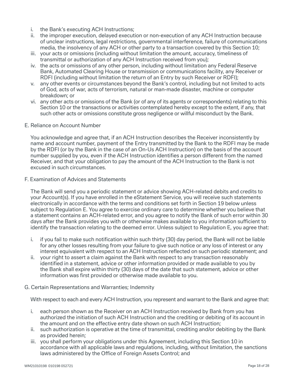- i. the Bank's executing ACH Instructions;
- ii. the improper execution, delayed execution or non-execution of any ACH Instruction because of unclear instructions, legal restrictions, governmental interference, failure of communications media, the insolvency of any ACH or other party to a transaction covered by this Section 10;
- iii. your acts or omissions (including without limitation the amount, accuracy, timeliness of transmittal or authorization of any ACH Instruction received from you);
- iv. the acts or omissions of any other person, including without limitation any Federal Reserve Bank, Automated Clearing House or transmission or communications facility, any Receiver or RDFI (including without limitation the return of an Entry by such Receiver or RDFI);
- v. any other events or circumstances beyond the Bank's control, including but not limited to acts of God, acts of war, acts of terrorism, natural or man-made disaster, machine or computer breakdown; or
- vi. any other acts or omissions of the Bank (or of any of its agents or correspondents) relating to this Section 10 or the transactions or activities contemplated hereby except to the extent, if any, that such other acts or omissions constitute gross negligence or willful misconduct by the Bank.
- E. Reliance on Account Number

You acknowledge and agree that, if an ACH Instruction describes the Receiver inconsistently by name and account number, payment of the Entry transmitted by the Bank to the RDFI may be made by the RDFI (or by the Bank in the case of an On-Us ACH Instruction) on the basis of the account number supplied by you, even if the ACH Instruction identifies a person different from the named Receiver, and that your obligation to pay the amount of the ACH Instruction to the Bank is not excused in such circumstances.

F. Examination of Advices and Statements

The Bank will send you a periodic statement or advice showing ACH-related debits and credits to your Account(s). If you have enrolled in the eStatement Service, you will receive such statements electronically in accordance with the terms and conditions set forth in Section 19 below unless subject to Regulation E. You agree to exercise ordinary care to determine whether you believe that a statement contains an ACH-related error, and you agree to notify the Bank of such error within 30 days after the Bank provides you with or otherwise makes available to you information sufficient to identify the transaction relating to the deemed error. Unless subject to Regulation E, you agree that:

- i. if you fail to make such notification within such thirty (30) day period, the Bank will not be liable for any other losses resulting from your failure to give such notice or any loss of interest or any interest equivalent with respect to an ACH Instruction reflected on such periodic statement; and
- ii. your right to assert a claim against the Bank with respect to any transaction reasonably identified in a statement, advice or other information provided or made available to you by the Bank shall expire within thirty (30) days of the date that such statement, advice or other information was first provided or otherwise made available to you.
- G. Certain Representations and Warranties; Indemnity

With respect to each and every ACH Instruction, you represent and warrant to the Bank and agree that:

- i. each person shown as the Receiver on an ACH Instruction received by Bank from you has authorized the initiation of such ACH Instruction and the crediting or debiting of its account in the amount and on the effective entry date shown on such ACH Instruction;
- ii. such authorization is operative at the time of transmittal, crediting and/or debiting by the Bank as provided herein;
- iii. you shall perform your obligations under this Agreement, including this Section 10 in accordance with all applicable laws and regulations, including, without limitation, the sanctions laws administered by the Office of Foreign Assets Control; and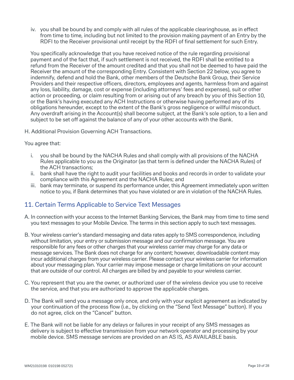iv. you shall be bound by and comply with all rules of the applicable clearinghouse, as in effect from time to time, including but not limited to the provision making payment of an Entry by the RDFI to the Receiver provisional until receipt by the RDFI of final settlement for such Entry.

You specifically acknowledge that you have received notice of the rule regarding provisional payment and of the fact that, if such settlement is not received, the RDFI shall be entitled to a refund from the Receiver of the amount credited and that you shall not be deemed to have paid the Receiver the amount of the corresponding Entry. Consistent with Section 22 below, you agree to indemnify, defend and hold the Bank, other members of the Deutsche Bank Group, their Service Providers and their respective officers, directors, employees and agents, harmless from and against any loss, liability, damage, cost or expense (including attorneys' fees and expenses), suit or other action or proceeding, or claim resulting from or arising out of any breach by you of this Section 10, or the Bank's having executed any ACH Instructions or otherwise having performed any of its obligations hereunder, except to the extent of the Bank's gross negligence or willful misconduct. Any overdraft arising in the Account(s) shall become subject, at the Bank's sole option, to a lien and subject to be set off against the balance of any of your other accounts with the Bank.

H. Additional Provision Governing ACH Transactions.

### You agree that:

- i. you shall be bound by the NACHA Rules and shall comply with all provisions of the NACHA Rules applicable to you as the Originator (as that term is defined under the NACHA Rules) of the ACH transactions;
- ii. bank shall have the right to audit your facilities and books and records in order to validate your compliance with this Agreement and the NACHA Rules; and
- iii. bank may terminate, or suspend its performance under, this Agreement immediately upon written notice to you, if Bank determines that you have violated or are in violation of the NACHA Rules.

### 11. Certain Terms Applicable to Service Text Messages

- A. In connection with your access to the Internet Banking Services, the Bank may from time to time send you text messages to your Mobile Device. The terms in this section apply to such text messages.
- B. Your wireless carrier's standard messaging and data rates apply to SMS correspondence, including without limitation, your entry or submission message and our confirmation message. You are responsible for any fees or other charges that your wireless carrier may charge for any data or message services. The Bank does not charge for any content; however, downloadable content may incur additional charges from your wireless carrier. Please contact your wireless carrier for information about your messaging plan. Your carrier may impose message or charge limitations on your account that are outside of our control. All charges are billed by and payable to your wireless carrier.
- C. You represent that you are the owner, or authorized user of the wireless device you use to receive the service, and that you are authorized to approve the applicable charges.
- D. The Bank will send you a message only once, and only with your explicit agreement as indicated by your continuation of the process flow (i.e., by clicking on the "Send Text Message" button). If you do not agree, click on the "Cancel" button.
- E. The Bank will not be liable for any delays or failures in your receipt of any SMS messages as delivery is subject to effective transmission from your network operator and processing by your mobile device. SMS message services are provided on an AS IS, AS AVAILABLE basis.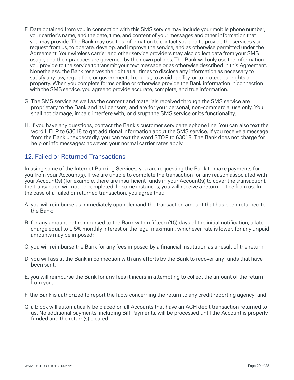- F. Data obtained from you in connection with this SMS service may include your mobile phone number, your carrier's name, and the date, time, and content of your messages and other information that you may provide. The Bank may use this information to contact you and to provide the services you request from us, to operate, develop, and improve the service, and as otherwise permitted under the Agreement. Your wireless carrier and other service providers may also collect data from your SMS usage, and their practices are governed by their own policies. The Bank will only use the information you provide to the service to transmit your text message or as otherwise described in this Agreement. Nonetheless, the Bank reserves the right at all times to disclose any information as necessary to satisfy any law, regulation, or governmental request, to avoid liability, or to protect our rights or property. When you complete forms online or otherwise provide the Bank information in connection with the SMS service, you agree to provide accurate, complete, and true information.
- G. The SMS service as well as the content and materials received through the SMS service are proprietary to the Bank and its licensors, and are for your personal, non-commercial use only. You shall not damage, impair, interfere with, or disrupt the SMS service or its functionality.
- H. If you have any questions, contact the Bank's customer service telephone line. You can also text the word HELP to 63018 to get additional information about the SMS service. If you receive a message from the Bank unexpectedly, you can text the word STOP to 63018. The Bank does not charge for help or info messages; however, your normal carrier rates apply.

# 12. Failed or Returned Transactions

In using some of the Internet Banking Services, you are requesting the Bank to make payments for you from your Account(s). If we are unable to complete the transaction for any reason associated with your Account(s) (for example, there are insufficient funds in your Account(s) to cover the transaction), the transaction will not be completed. In some instances, you will receive a return notice from us. In the case of a failed or returned transaction, you agree that:

- A. you will reimburse us immediately upon demand the transaction amount that has been returned to the Bank;
- B. for any amount not reimbursed to the Bank within fifteen (15) days of the initial notification, a late charge equal to 1.5% monthly interest or the legal maximum, whichever rate is lower, for any unpaid amounts may be imposed;
- C. you will reimburse the Bank for any fees imposed by a financial institution as a result of the return;
- D. you will assist the Bank in connection with any efforts by the Bank to recover any funds that have been sent;
- E. you will reimburse the Bank for any fees it incurs in attempting to collect the amount of the return from you;
- F. the Bank is authorized to report the facts concerning the return to any credit reporting agency; and
- G. a block will automatically be placed on all Accounts that have an ACH debit transaction returned to us. No additional payments, including Bill Payments, will be processed until the Account is properly funded and the return(s) cleared.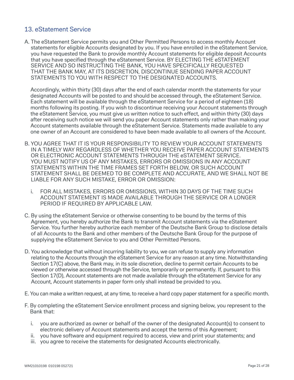# 13. eStatement Service

A. The eStatement Service permits you and Other Permitted Persons to access monthly Account statements for eligible Accounts designated by you. If you have enrolled in the eStatement Service, you have requested the Bank to provide monthly Account statements for eligible deposit Accounts that you have specified through the eStatement Service. BY ELECTING THE eSTATEMENT SERVICE AND SO INSTRUCTING THE BANK, YOU HAVE SPECIFICALLY REQUESTED THAT THE BANK MAY, AT ITS DISCRETION, DISCONTINUE SENDING PAPER ACCOUNT STATEMENTS TO YOU WITH RESPECT TO THE DESIGNATED ACCOUNTS.

Accordingly, within thirty (30) days after the end of each calendar month the statements for your designated Accounts will be posted to and should be accessed through, the eStatement Service. Each statement will be available through the eStatement Service for a period of eighteen (18) months following its posting. If you wish to discontinue receiving your Account statements through the eStatement Service, you must give us written notice to such effect, and within thirty (30) days after receiving such notice we will send you paper Account statements only rather than making your Account statements available through the eStatement Service. Statements made available to any one owner of an Account are considered to have been made available to all owners of the Account.

- B. YOU AGREE THAT IT IS YOUR RESPONSIBILITY TO REVIEW YOUR ACCOUNT STATEMENTS IN A TIMELY WAY REGARDLESS OF WHETHER YOU RECEIVE PAPER ACCOUNT STATEMENTS OR ELECTRONIC ACCOUNT STATEMENTS THROUGH THE eSTATEMENT SERVICE. YOU MUST NOTIFY US OF ANY MISTAKES, ERRORS OR OMISSIONS IN ANY ACCOUNT STATEMENTS WITHIN THE TIME FRAMES SET FORTH BELOW, OR SUCH ACCOUNT STATEMENT SHALL BE DEEMED TO BE COMPLETE AND ACCURATE, AND WE SHALL NOT BE LIABLE FOR ANY SUCH MISTAKE, ERROR OR OMISSION:
	- i. FOR ALL MISTAKES, ERRORS OR OMISSIONS, WITHIN 30 DAYS OF THE TIME SUCH ACCOUNT STATEMENT IS MADE AVAILABLE THROUGH THE SERVICE OR A LONGER PERIOD IF REQUIRED BY APPLICABLE LAW.
- C. By using the eStatement Service or otherwise consenting to be bound by the terms of this Agreement, you hereby authorize the Bank to transmit Account statements via the eStatement Service. You further hereby authorize each member of the Deutsche Bank Group to disclose details of all Accounts to the Bank and other members of the Deutsche Bank Group for the purpose of supplying the eStatement Service to you and Other Permitted Persons.
- D. You acknowledge that without incurring liability to you, we can refuse to supply any information relating to the Accounts through the eStatement Service for any reason at any time. Notwithstanding Section 17(C) above, the Bank may, in its sole discretion, decline to permit certain Accounts to be viewed or otherwise accessed through the Service, temporarily or permanently. If, pursuant to this Section 17(D), Account statements are not made available through the eStatement Service for any Account, Account statements in paper form only shall instead be provided to you.
- E. You can make a written request, at any time, to receive a hard copy paper statement for a specific month.
- F. By completing the eStatement Service enrollment process and signing below, you represent to the Bank that:
	- i. you are authorized as owner or behalf of the owner of the designated Account(s) to consent to electronic delivery of Account statements and accept the terms of this Agreement;
	- ii. you have software and equipment required to access, view and print your statements; and
	- iii. you agree to receive the statements for designated Accounts electronically.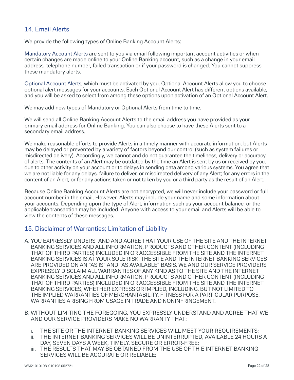# 14. Email Alerts

We provide the following types of Online Banking Account Alerts:

Mandatory Account Alerts are sent to you via email following important account activities or when certain changes are made online to your Online Banking account, such as a change in your email address, telephone number, failed transaction or if your password is changed. You cannot suppress these mandatory alerts.

Optional Account Alerts, which must be activated by you. Optional Account Alerts allow you to choose optional alert messages for your accounts. Each Optional Account Alert has different options available, and you will be asked to select from among these options upon activation of an Optional Account Alert.

We may add new types of Mandatory or Optional Alerts from time to time.

We will send all Online Banking Account Alerts to the email address you have provided as your primary email address for Online Banking. You can also choose to have these Alerts sent to a secondary email address.

We make reasonable efforts to provide Alerts in a timely manner with accurate information, but Alerts may be delayed or prevented by a variety of factors beyond our control (such as system failures or misdirected delivery). Accordingly, we cannot and do not guarantee the timeliness, delivery or accuracy of alerts. The contents of an Alert may be outdated by the time an Alert is sent by us or received by you, due to other activity on your account or to delays in sending data among various systems. You agree that we are not liable for any delays, failure to deliver, or misdirected delivery of any Alert; for any errors in the content of an Alert; or for any actions taken or not taken by you or a third party as the result of an Alert.

Because Online Banking Account Alerts are not encrypted, we will never include your password or full account number in the email. However, Alerts may include your name and some information about your accounts. Depending upon the type of Alert, information such as your account balance, or the applicable transaction may be included. Anyone with access to your email and Alerts will be able to view the contents of these messages.

### 15. Disclaimer of Warranties; Limitation of Liability

- A. YOU EXPRESSLY UNDERSTAND AND AGREE THAT YOUR USE OF THE SITE AND THE INTERNET BANKING SERVICES AND ALL INFORMATION, PRODUCTS AND OTHER CONTENT (INCLUDING THAT OF THIRD PARTIES) INCLUDED IN OR ACCESSIBLE FROM THE SITE AND THE INTERNET BANKING SERVICES IS AT YOUR SOLE RISK. THE SITE AND THE INTERNET BANKING SERVICES ARE PROVIDED ON AN "AS IS" AND "AS AVAILABLE" BASIS. WE AND OUR SERVICE PROVIDERS EXPRESSLY DISCLAIM ALL WARRANTIES OF ANY KIND AS TO THE SITE AND THE INTERNET BANKING SERVICES AND ALL INFORMATION, PRODUCTS AND OTHER CONTENT (INCLUDING THAT OF THIRD PARTIES) INCLUDED IN OR ACCESSIBLE FROM THE SITE AND THE INTERNET BANKING SERVICES, WHETHER EXPRESS OR IMPLIED, INCLUDING, BUT NOT LIMITED TO THE IMPLIED WARRANTIES OF MERCHANTABILITY, FITNESS FOR A PARTICULAR PURPOSE, WARRANTIES ARISING FROM USAGE IN TRADE AND NONINFRINGEMENT.
- B. WITHOUT LIMITING THE FOREGOING, YOU EXPRESSLY UNDERSTAND AND AGREE THAT WE AND OUR SERVICE PROVIDERS MAKE NO WARRANTY THAT:
	- i. THE SITE OR THE INTERNET BANKING SERVICES WILL MEET YOUR REQUIREMENTS;
	- ii. THE INTERNET BANKING SERVICES WILL BE UNINTERRUPTED, AVAILABLE 24 HOURS A DAY, SEVEN DAYS A WEEK, TIMELY, SECURE OR ERROR-FREE;
	- iii. THE RESULTS THAT MAY BE OBTAINED FROM THE USE OF TH E INTERNET BANKING SERVICES WILL BE ACCURATE OR RELIABLE;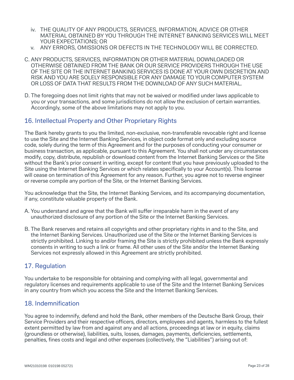- iv. THE QUALITY OF ANY PRODUCTS, SERVICES, INFORMATION, ADVICE OR OTHER MATERIAL OBTAINED BY YOU THROUGH THE INTERNET BANKING SERVICES WILL MEET YOUR EXPECTATIONS; OR
- v. ANY ERRORS, OMISSIONS OR DEFECTS IN THE TECHNOLOGY WILL BE CORRECTED.
- C. ANY PRODUCTS, SERVICES, INFORMATION OR OTHER MATERIAL DOWNLOADED OR OTHERWISE OBTAINED FROM THE BANK OR OUR SERVICE PROVIDERS THROUGH THE USE OF THE SITE OR THE INTERNET BANKING SERVICES IS DONE AT YOUR OWN DISCRETION AND RISK AND YOU ARE SOLELY RESPONSIBLE FOR ANY DAMAGE TO YOUR COMPUTER SYSTEM OR LOSS OF DATA THAT RESULTS FROM THE DOWNLOAD OF ANY SUCH MATERIAL.
- D. The foregoing does not limit rights that may not be waived or modified under laws applicable to you or your transactions, and some jurisdictions do not allow the exclusion of certain warranties. Accordingly, some of the above limitations may not apply to you.

# 16. Intellectual Property and Other Proprietary Rights

The Bank hereby grants to you the limited, non-exclusive, non-transferable revocable right and license to use the Site and the Internet Banking Services, in object code format only and excluding source code, solely during the term of this Agreement and for the purposes of conducting your consumer or business transaction, as applicable, pursuant to this Agreement. You shall not under any circumstances modify, copy, distribute, republish or download content from the Internet Banking Services or the Site without the Bank's prior consent in writing, except for content that you have previously uploaded to the Site using the Internet Banking Services or which relates specifically to your Account(s). This license will cease on termination of this Agreement for any reason. Further, you agree not to reverse engineer or reverse compile any portion of the Site, or the Internet Banking Services.

You acknowledge that the Site, the Internet Banking Services, and its accompanying documentation, if any, constitute valuable property of the Bank.

- A. You understand and agree that the Bank will suffer irreparable harm in the event of any unauthorized disclosure of any portion of the Site or the Internet Banking Services.
- B. The Bank reserves and retains all copyrights and other proprietary rights in and to the Site, and the Internet Banking Services. Unauthorized use of the Site or the Internet Banking Services is strictly prohibited. Linking to and/or framing the Site is strictly prohibited unless the Bank expressly consents in writing to such a link or frame. All other uses of the Site and/or the Internet Banking Services not expressly allowed in this Agreement are strictly prohibited.

### 17. Regulation

You undertake to be responsible for obtaining and complying with all legal, governmental and regulatory licenses and requirements applicable to use of the Site and the Internet Banking Services in any country from which you access the Site and the Internet Banking Services.

### 18. Indemnification

You agree to indemnify, defend and hold the Bank, other members of the Deutsche Bank Group, their Service Providers and their respective officers, directors, employees and agents, harmless to the fullest extent permitted by law from and against any and all actions, proceedings at law or in equity, claims (groundless or otherwise), liabilities, suits, losses, damages, payments, deficiencies, settlements, penalties, fines costs and legal and other expenses (collectively, the "Liabilities") arising out of: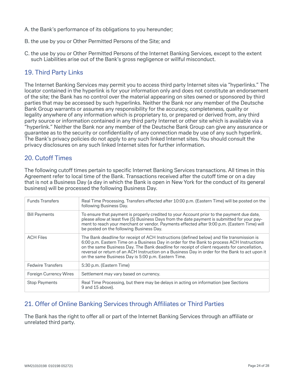- A. the Bank's performance of its obligations to you hereunder;
- B. the use by you or Other Permitted Persons of the Site; and
- C. the use by you or Other Permitted Persons of the Internet Banking Services, except to the extent such Liabilities arise out of the Bank's gross negligence or willful misconduct.

# 19. Third Party Links

The Internet Banking Services may permit you to access third party Internet sites via "hyperlinks." The locator contained in the hyperlink is for your information only and does not constitute an endorsement of the site; the Bank has no control over the material appearing on sites owned or sponsored by third parties that may be accessed by such hyperlinks. Neither the Bank nor any member of the Deutsche Bank Group warrants or assumes any responsibility for the accuracy, completeness, quality or legality anywhere of any information which is proprietary to, or prepared or derived from, any third party source or information contained in any third party Internet or other site which is available via a "hyperlink." Neither the Bank nor any member of the Deutsche Bank Group can give any assurance or guarantee as to the security or confidentiality of any connection made by use of any such hyperlink. The Bank's privacy policies do not apply to any such linked Internet sites. You should consult the privacy disclosures on any such linked Internet sites for further information.

# 20. Cutoff Times

The following cutoff times pertain to specific Internet Banking Services transactions. All times in this Agreement refer to local time of the Bank. Transactions received after the cutoff time or on a day that is not a Business Day (a day in which the Bank is open in New York for the conduct of its general business) will be processed the following Business Day.

| <b>Funds Transfers</b>        | Real Time Processing. Transfers effected after 10:00 p.m. (Eastern Time) will be posted on the<br>following Business Day.                                                                                                                                                                                                                                                                                                                          |
|-------------------------------|----------------------------------------------------------------------------------------------------------------------------------------------------------------------------------------------------------------------------------------------------------------------------------------------------------------------------------------------------------------------------------------------------------------------------------------------------|
| <b>Bill Payments</b>          | To ensure that payment is properly credited to your Account prior to the payment due date,<br>please allow at least five (5) Business Days from the date payment is submitted for your pay-<br>ment to reach your merchant or vendor. Payments effected after 9:00 p.m. (Eastern Time) will<br>be posted on the following Business Day.                                                                                                            |
| <b>ACH Files</b>              | The Bank deadline for receipt of ACH Instructions (defined below) and file transmission is<br>6:00 p.m. Eastern Time on a Business Day in order for the Bank to process ACH Instructions<br>on the same Business Day. The Bank deadline for receipt of client requests for cancellation,<br>reversal or return of an ACH Instruction on a Business Day in order for the Bank to act upon it<br>on the same Business Day is 5:00 p.m. Eastern Time. |
| <b>Fedwire Transfers</b>      | 5:30 p.m. (Eastern Time)                                                                                                                                                                                                                                                                                                                                                                                                                           |
| <b>Foreign Currency Wires</b> | Settlement may vary based on currency.                                                                                                                                                                                                                                                                                                                                                                                                             |
| <b>Stop Payments</b>          | Real Time Processing, but there may be delays in acting on information (see Sections<br>9 and 15 above).                                                                                                                                                                                                                                                                                                                                           |

# 21. Offer of Online Banking Services through Affiliates or Third Parties

The Bank has the right to offer all or part of the Internet Banking Services through an affiliate or unrelated third party.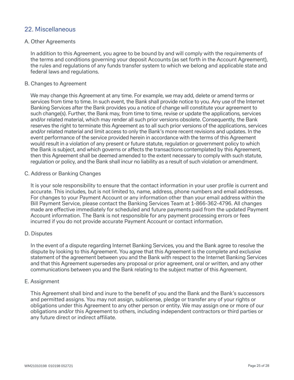### 22. Miscellaneous

### A. Other Agreements

In addition to this Agreement, you agree to be bound by and will comply with the requirements of the terms and conditions governing your deposit Accounts (as set forth in the Account Agreement), the rules and regulations of any funds transfer system to which we belong and applicable state and federal laws and regulations.

### B. Changes to Agreement

We may change this Agreement at any time. For example, we may add, delete or amend terms or services from time to time. In such event, the Bank shall provide notice to you. Any use of the Internet Banking Services after the Bank provides you a notice of change will constitute your agreement to such change(s). Further, the Bank may, from time to time, revise or update the applications, services and/or related material, which may render all such prior versions obsolete. Consequently, the Bank reserves the right to terminate this Agreement as to all such prior versions of the applications, services and/or related material and limit access to only the Bank's more recent revisions and updates. In the event performance of the service provided herein in accordance with the terms of this Agreement would result in a violation of any present or future statute, regulation or government policy to which the Bank is subject, and which governs or affects the transactions contemplated by this Agreement, then this Agreement shall be deemed amended to the extent necessary to comply with such statute, regulation or policy, and the Bank shall incur no liability as a result of such violation or amendment.

### C. Address or Banking Changes

It is your sole responsibility to ensure that the contact information in your user profile is current and accurate. This includes, but is not limited to, name, address, phone numbers and email addresses. For changes to your Payment Account or any information other than your email address within the Bill Payment Service, please contact the Banking Services Team at 1-866-362-4796. All changes made are effective immediately for scheduled and future payments paid from the updated Payment Account information. The Bank is not responsible for any payment processing errors or fees incurred if you do not provide accurate Payment Account or contact information.

### D. Disputes

In the event of a dispute regarding Internet Banking Services, you and the Bank agree to resolve the dispute by looking to this Agreement. You agree that this Agreement is the complete and exclusive statement of the agreement between you and the Bank with respect to the Internet Banking Services and that this Agreement supersedes any proposal or prior agreement, oral or written, and any other communications between you and the Bank relating to the subject matter of this Agreement.

### E. Assignment

This Agreement shall bind and inure to the benefit of you and the Bank and the Bank's successors and permitted assigns. You may not assign, sublicense, pledge or transfer any of your rights or obligations under this Agreement to any other person or entity. We may assign one or more of our obligations and/or this Agreement to others, including independent contractors or third parties or any future direct or indirect affiliate.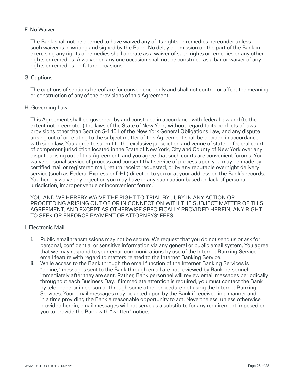### F. No Waiver

The Bank shall not be deemed to have waived any of its rights or remedies hereunder unless such waiver is in writing and signed by the Bank. No delay or omission on the part of the Bank in exercising any rights or remedies shall operate as a waiver of such rights or remedies or any other rights or remedies. A waiver on any one occasion shall not be construed as a bar or waiver of any rights or remedies on future occasions.

### G. Captions

The captions of sections hereof are for convenience only and shall not control or affect the meaning or construction of any of the provisions of this Agreement.

### H. Governing Law

This Agreement shall be governed by and construed in accordance with federal law and (to the extent not preempted) the laws of the State of New York, without regard to its conflicts of laws provisions other than Section 5-1401 of the New York General Obligations Law, and any dispute arising out of or relating to the subject matter of this Agreement shall be decided in accordance with such law. You agree to submit to the exclusive jurisdiction and venue of state or federal court of competent jurisdiction located in the State of New York, City and County of New York over any dispute arising out of this Agreement, and you agree that such courts are convenient forums. You waive personal service of process and consent that service of process upon you may be made by certified mail or registered mail, return receipt requested, or by any reputable overnight delivery service (such as Federal Express or DHL) directed to you or at your address on the Bank's records. You hereby waive any objection you may have in any such action based on lack of personal jurisdiction, improper venue or inconvenient forum.

YOU AND WE HEREBY WAIVE THE RIGHT TO TRIAL BY JURY IN ANY ACTION OR PROCEEDING ARISING OUT OF OR IN CONNECTION WITH THE SUBJECT MATTER OF THIS AGREEMENT, AND EXCEPT AS OTHERWISE SPECIFICALLY PROVIDED HEREIN, ANY RIGHT TO SEEK OR ENFORCE PAYMENT OF ATTORNEYS' FEES.

### I. Electronic Mail

- i. Public email transmissions may not be secure. We request that you do not send us or ask for personal, confidential or sensitive information via any general or public email system. You agree that we may respond to your email communications by use of the Internet Banking Service email feature with regard to matters related to the Internet Banking Service.
- ii. While access to the Bank through the email function of the Internet Banking Services is "online," messages sent to the Bank through email are not reviewed by Bank personnel immediately after they are sent. Rather, Bank personnel will review email messages periodically throughout each Business Day. If immediate attention is required, you must contact the Bank by telephone or in person or through some other procedure not using the Internet Banking Services. Your email messages may be acted upon by the Bank if received in a manner and in a time providing the Bank a reasonable opportunity to act. Nevertheless, unless otherwise provided herein, email messages will not serve as a substitute for any requirement imposed on you to provide the Bank with "written" notice.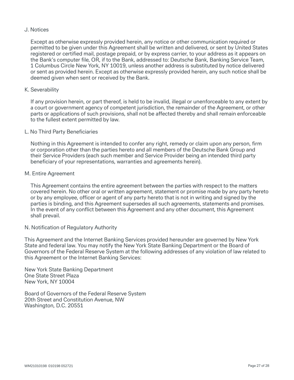### J. Notices

Except as otherwise expressly provided herein, any notice or other communication required or permitted to be given under this Agreement shall be written and delivered, or sent by United States registered or certified mail, postage prepaid, or by express carrier, to your address as it appears on the Bank's computer file, OR, if to the Bank, addressed to: Deutsche Bank, Banking Service Team, 1 Columbus Circle New York, NY 10019, unless another address is substituted by notice delivered or sent as provided herein. Except as otherwise expressly provided herein, any such notice shall be deemed given when sent or received by the Bank.

### K. Severability

If any provision herein, or part thereof, is held to be invalid, illegal or unenforceable to any extent by a court or government agency of competent jurisdiction, the remainder of the Agreement, or other parts or applications of such provisions, shall not be affected thereby and shall remain enforceable to the fullest extent permitted by law.

### L. No Third Party Beneficiaries

Nothing in this Agreement is intended to confer any right, remedy or claim upon any person, firm or corporation other than the parties hereto and all members of the Deutsche Bank Group and their Service Providers (each such member and Service Provider being an intended third party beneficiary of your representations, warranties and agreements herein).

#### M. Entire Agreement

This Agreement contains the entire agreement between the parties with respect to the matters covered herein. No other oral or written agreement, statement or promise made by any party hereto or by any employee, officer or agent of any party hereto that is not in writing and signed by the parties is binding, and this Agreement supersedes all such agreements, statements and promises. In the event of any conflict between this Agreement and any other document, this Agreement shall prevail.

### N. Notification of Regulatory Authority

This Agreement and the Internet Banking Services provided hereunder are governed by New York State and federal law. You may notify the New York State Banking Department or the Board of Governors of the Federal Reserve System at the following addresses of any violation of law related to this Agreement or the Internet Banking Services:

New York State Banking Department One State Street Plaza New York, NY 10004

Board of Governors of the Federal Reserve System 20th Street and Constitution Avenue, NW Washington, D.C. 20551